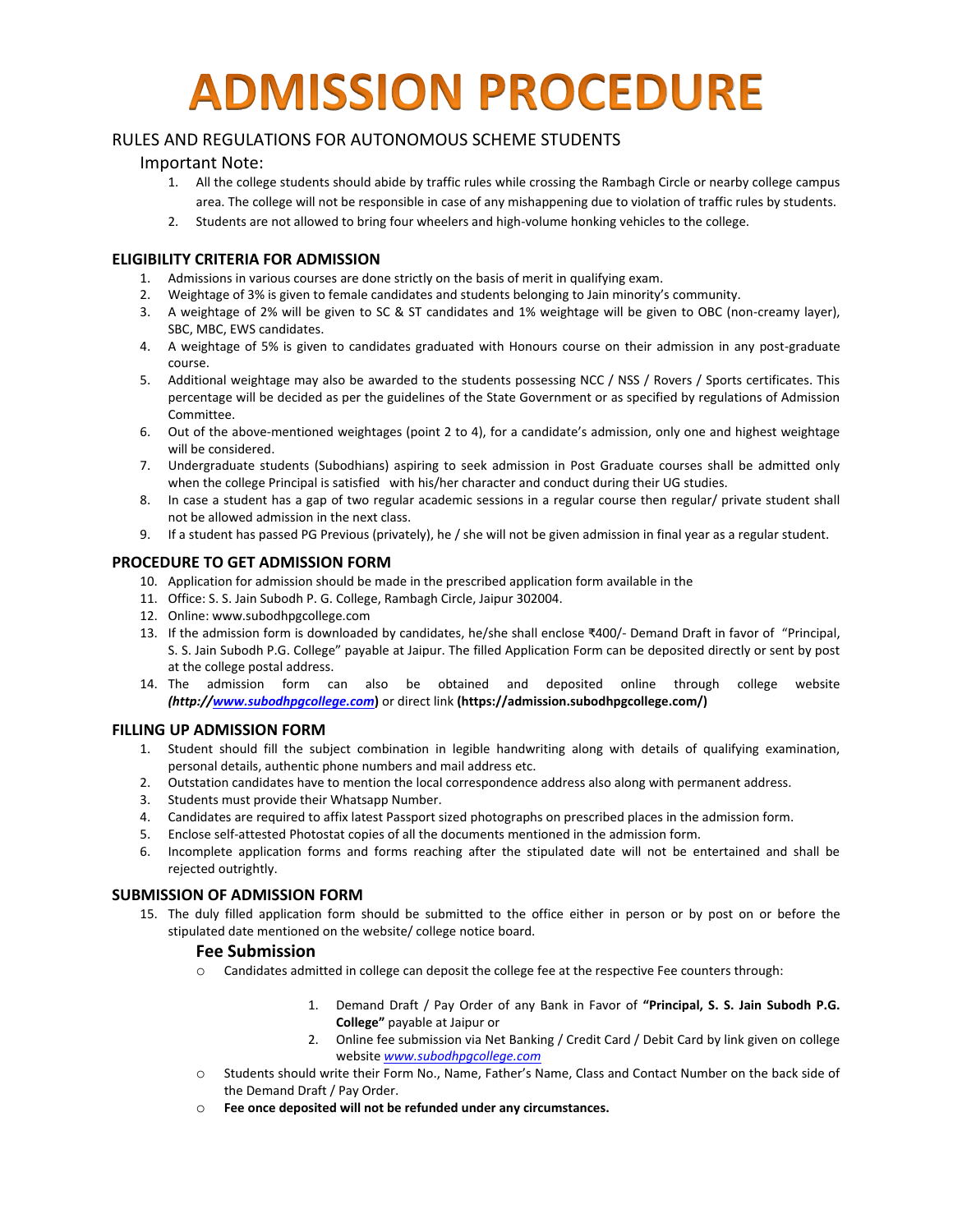# **ADMISSION PROCEDURE**

# RULES AND REGULATIONS FOR AUTONOMOUS SCHEME STUDENTS

## Important Note:

- 1. All the college students should abide by traffic rules while crossing the Rambagh Circle or nearby college campus area. The college will not be responsible in case of any mishappening due to violation of traffic rules by students.
- 2. Students are not allowed to bring four wheelers and high-volume honking vehicles to the college.

#### **ELIGIBILITY CRITERIA FOR ADMISSION**

- 1. Admissions in various courses are done strictly on the basis of merit in qualifying exam.
- 2. Weightage of 3% is given to female candidates and students belonging to Jain minority's community.
- 3. A weightage of 2% will be given to SC & ST candidates and 1% weightage will be given to OBC (non-creamy layer), SBC, MBC, EWS candidates.
- 4. A weightage of 5% is given to candidates graduated with Honours course on their admission in any post-graduate course.
- 5. Additional weightage may also be awarded to the students possessing NCC / NSS / Rovers / Sports certificates. This percentage will be decided as per the guidelines of the State Government or as specified by regulations of Admission Committee.
- 6. Out of the above-mentioned weightages (point 2 to 4), for a candidate's admission, only one and highest weightage will be considered.
- 7. Undergraduate students (Subodhians) aspiring to seek admission in Post Graduate courses shall be admitted only when the college Principal is satisfied with his/her character and conduct during their UG studies.
- 8. In case a student has a gap of two regular academic sessions in a regular course then regular/ private student shall not be allowed admission in the next class.
- 9. If a student has passed PG Previous (privately), he / she will not be given admission in final year as a regular student.

#### **PROCEDURE TO GET ADMISSION FORM**

- 10. Application for admission should be made in the prescribed application form available in the
- 11. Office: S. S. Jain Subodh P. G. College, Rambagh Circle, Jaipur 302004.
- 12. Online: www.subodhpgcollege.com
- 13. If the admission form is downloaded by candidates, he/she shall enclose ₹400/- Demand Draft in favor of "Principal, S. S. Jain Subodh P.G. College" payable at Jaipur. The filled Application Form can be deposited directly or sent by post at the college postal address.
- 14. The admission form can also be obtained and deposited online through college website *(http:/[/www.subodhpgcollege.com](http://www.subodhpgcollege.com/)***)** or direct link **(https://admission.subodhpgcollege.com/)**

#### **FILLING UP ADMISSION FORM**

- 1. Student should fill the subject combination in legible handwriting along with details of qualifying examination, personal details, authentic phone numbers and mail address etc.
- 2. Outstation candidates have to mention the local correspondence address also along with permanent address.
- 3. Students must provide their Whatsapp Number.
- 4. Candidates are required to affix latest Passport sized photographs on prescribed places in the admission form.
- 5. Enclose self-attested Photostat copies of all the documents mentioned in the admission form.
- 6. Incomplete application forms and forms reaching after the stipulated date will not be entertained and shall be rejected outrightly.

#### **SUBMISSION OF ADMISSION FORM**

15. The duly filled application form should be submitted to the office either in person or by post on or before the stipulated date mentioned on the website/ college notice board.

#### **Fee Submission**

- o Candidates admitted in college can deposit the college fee at the respective Fee counters through:
	- 1. Demand Draft / Pay Order of any Bank in Favor of **"Principal, S. S. Jain Subodh P.G. College"** payable at Jaipur or
	- 2. Online fee submission via Net Banking / Credit Card / Debit Card by link given on college website *[www.subodhpgcollege.com](http://www.subodhpgcollege.com/)*
- o Students should write their Form No., Name, Father's Name, Class and Contact Number on the back side of the Demand Draft / Pay Order.
- o **Fee once deposited will not be refunded under any circumstances.**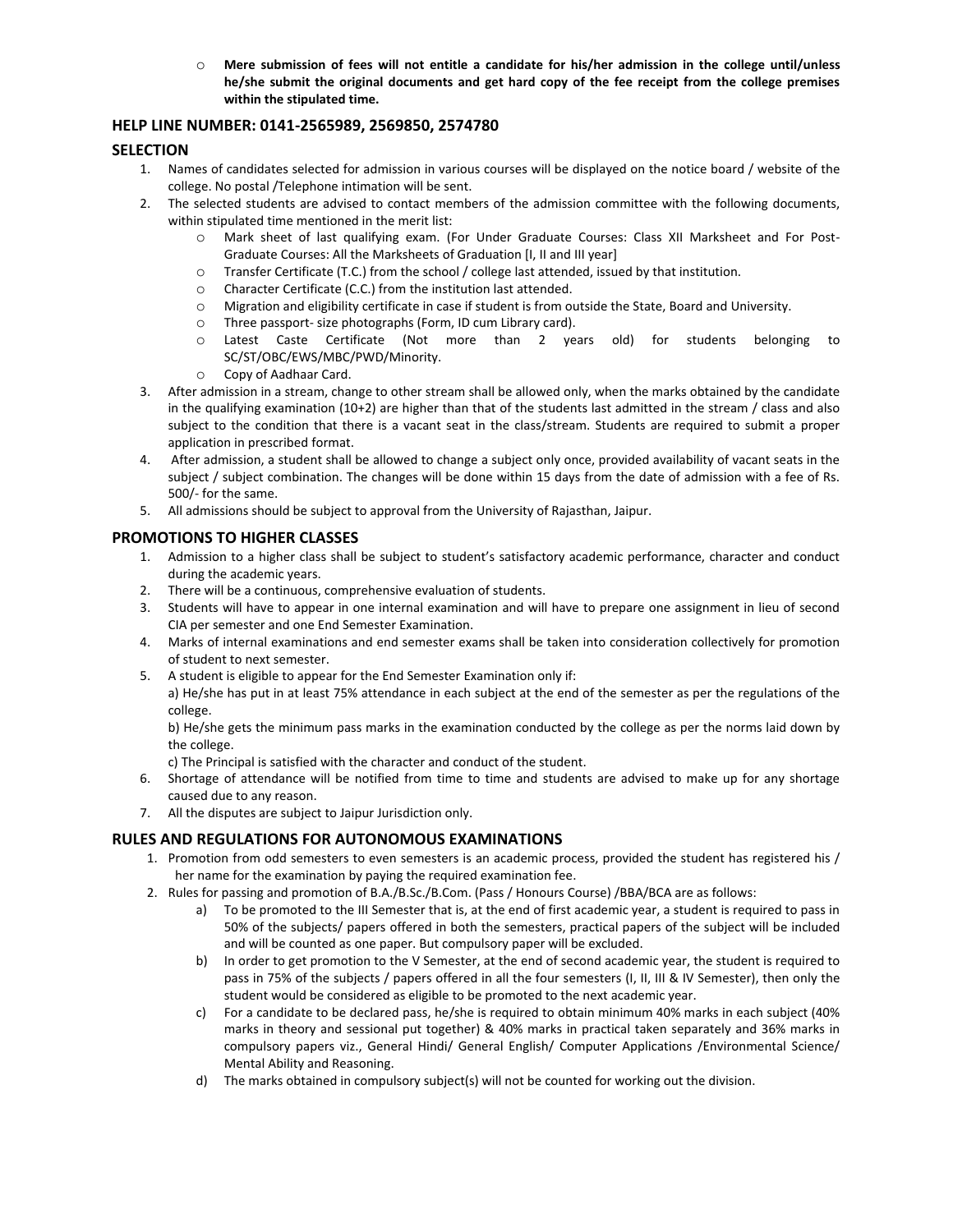o **Mere submission of fees will not entitle a candidate for his/her admission in the college until/unless he/she submit the original documents and get hard copy of the fee receipt from the college premises within the stipulated time.** 

## **HELP LINE NUMBER: 0141-2565989, 2569850, 2574780**

#### **SELECTION**

- 1. Names of candidates selected for admission in various courses will be displayed on the notice board / website of the college. No postal /Telephone intimation will be sent.
- 2. The selected students are advised to contact members of the admission committee with the following documents, within stipulated time mentioned in the merit list:
	- o Mark sheet of last qualifying exam. (For Under Graduate Courses: Class XII Marksheet and For Post-Graduate Courses: All the Marksheets of Graduation [I, II and III year]
	- o Transfer Certificate (T.C.) from the school / college last attended, issued by that institution.
	- o Character Certificate (C.C.) from the institution last attended.
	- o Migration and eligibility certificate in case if student is from outside the State, Board and University.
	- o Three passport- size photographs (Form, ID cum Library card).
	- o Latest Caste Certificate (Not more than 2 years old) for students belonging to SC/ST/OBC/EWS/MBC/PWD/Minority.
	- o Copy of Aadhaar Card.
- 3. After admission in a stream, change to other stream shall be allowed only, when the marks obtained by the candidate in the qualifying examination (10+2) are higher than that of the students last admitted in the stream / class and also subject to the condition that there is a vacant seat in the class/stream. Students are required to submit a proper application in prescribed format.
- 4. After admission, a student shall be allowed to change a subject only once, provided availability of vacant seats in the subject / subject combination. The changes will be done within 15 days from the date of admission with a fee of Rs. 500/- for the same.
- 5. All admissions should be subject to approval from the University of Rajasthan, Jaipur.

#### **PROMOTIONS TO HIGHER CLASSES**

- 1. Admission to a higher class shall be subject to student's satisfactory academic performance, character and conduct during the academic years.
- 2. There will be a continuous, comprehensive evaluation of students.
- 3. Students will have to appear in one internal examination and will have to prepare one assignment in lieu of second CIA per semester and one End Semester Examination.
- 4. Marks of internal examinations and end semester exams shall be taken into consideration collectively for promotion of student to next semester.
- 5. A student is eligible to appear for the End Semester Examination only if:

a) He/she has put in at least 75% attendance in each subject at the end of the semester as per the regulations of the college.

b) He/she gets the minimum pass marks in the examination conducted by the college as per the norms laid down by the college.

c) The Principal is satisfied with the character and conduct of the student.

- 6. Shortage of attendance will be notified from time to time and students are advised to make up for any shortage caused due to any reason.
- 7. All the disputes are subject to Jaipur Jurisdiction only.

## **RULES AND REGULATIONS FOR AUTONOMOUS EXAMINATIONS**

- 1. Promotion from odd semesters to even semesters is an academic process, provided the student has registered his / her name for the examination by paying the required examination fee.
- 2. Rules for passing and promotion of B.A./B.Sc./B.Com. (Pass / Honours Course) /BBA/BCA are as follows:
	- a) To be promoted to the III Semester that is, at the end of first academic year, a student is required to pass in 50% of the subjects/ papers offered in both the semesters, practical papers of the subject will be included and will be counted as one paper. But compulsory paper will be excluded.
	- b) In order to get promotion to the V Semester, at the end of second academic year, the student is required to pass in 75% of the subjects / papers offered in all the four semesters (I, II, III & IV Semester), then only the student would be considered as eligible to be promoted to the next academic year.
	- c) For a candidate to be declared pass, he/she is required to obtain minimum 40% marks in each subject (40% marks in theory and sessional put together) & 40% marks in practical taken separately and 36% marks in compulsory papers viz., General Hindi/ General English/ Computer Applications /Environmental Science/ Mental Ability and Reasoning.
	- d) The marks obtained in compulsory subject(s) will not be counted for working out the division.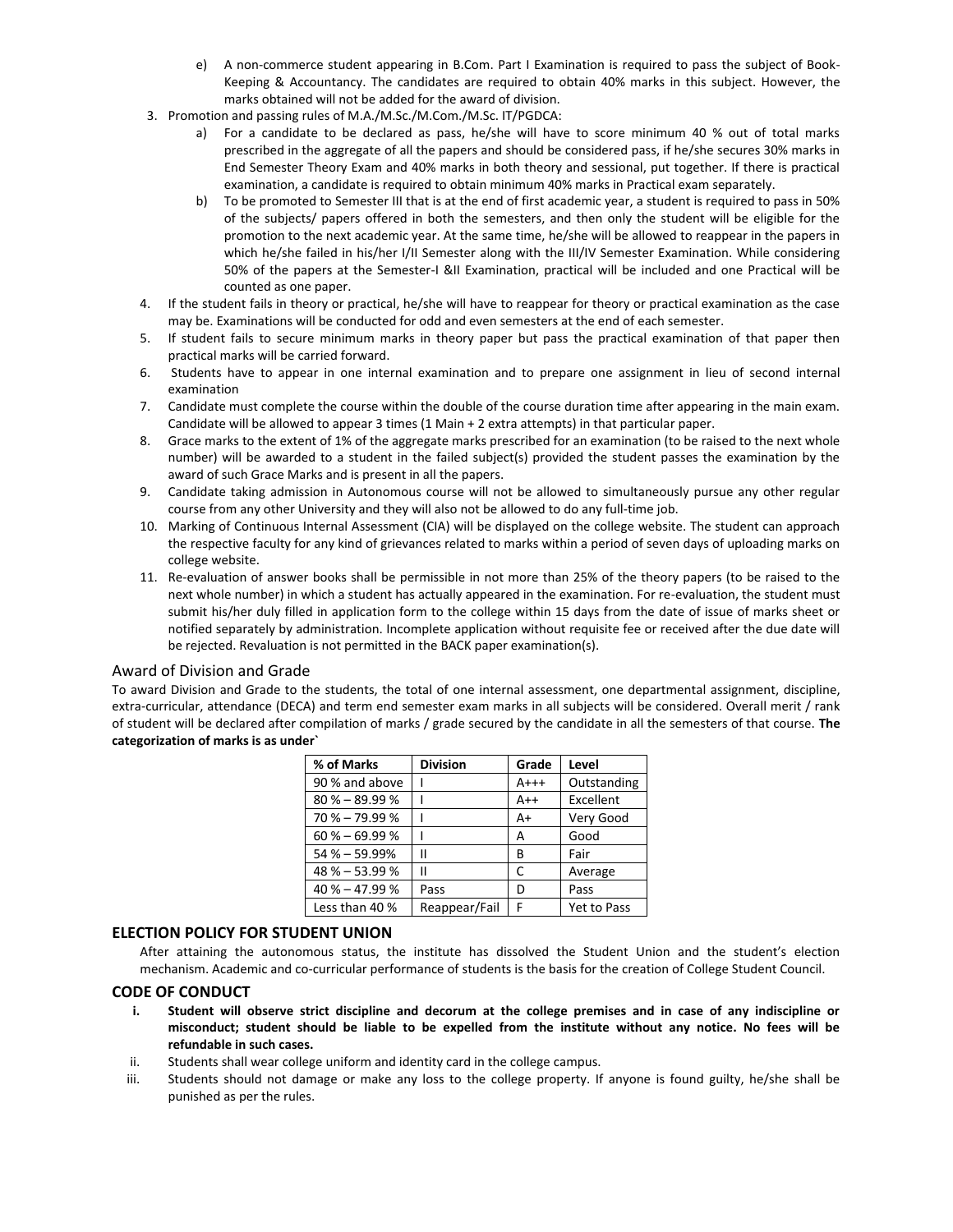- e) A non-commerce student appearing in B.Com. Part I Examination is required to pass the subject of Book-Keeping & Accountancy. The candidates are required to obtain 40% marks in this subject. However, the marks obtained will not be added for the award of division.
- 3. Promotion and passing rules of M.A./M.Sc./M.Com./M.Sc. IT/PGDCA:
	- a) For a candidate to be declared as pass, he/she will have to score minimum 40 % out of total marks prescribed in the aggregate of all the papers and should be considered pass, if he/she secures 30% marks in End Semester Theory Exam and 40% marks in both theory and sessional, put together. If there is practical examination, a candidate is required to obtain minimum 40% marks in Practical exam separately.
	- b) To be promoted to Semester III that is at the end of first academic year, a student is required to pass in 50% of the subjects/ papers offered in both the semesters, and then only the student will be eligible for the promotion to the next academic year. At the same time, he/she will be allowed to reappear in the papers in which he/she failed in his/her I/II Semester along with the III/IV Semester Examination. While considering 50% of the papers at the Semester-I &II Examination, practical will be included and one Practical will be counted as one paper.
- 4. If the student fails in theory or practical, he/she will have to reappear for theory or practical examination as the case may be. Examinations will be conducted for odd and even semesters at the end of each semester.
- 5. If student fails to secure minimum marks in theory paper but pass the practical examination of that paper then practical marks will be carried forward.
- 6. Students have to appear in one internal examination and to prepare one assignment in lieu of second internal examination
- 7. Candidate must complete the course within the double of the course duration time after appearing in the main exam. Candidate will be allowed to appear 3 times (1 Main + 2 extra attempts) in that particular paper.
- 8. Grace marks to the extent of 1% of the aggregate marks prescribed for an examination (to be raised to the next whole number) will be awarded to a student in the failed subject(s) provided the student passes the examination by the award of such Grace Marks and is present in all the papers.
- 9. Candidate taking admission in Autonomous course will not be allowed to simultaneously pursue any other regular course from any other University and they will also not be allowed to do any full-time job.
- 10. Marking of Continuous Internal Assessment (CIA) will be displayed on the college website. The student can approach the respective faculty for any kind of grievances related to marks within a period of seven days of uploading marks on college website.
- 11. Re-evaluation of answer books shall be permissible in not more than 25% of the theory papers (to be raised to the next whole number) in which a student has actually appeared in the examination. For re-evaluation, the student must submit his/her duly filled in application form to the college within 15 days from the date of issue of marks sheet or notified separately by administration. Incomplete application without requisite fee or received after the due date will be rejected. Revaluation is not permitted in the BACK paper examination(s).

#### Award of Division and Grade

To award Division and Grade to the students, the total of one internal assessment, one departmental assignment, discipline, extra-curricular, attendance (DECA) and term end semester exam marks in all subjects will be considered. Overall merit / rank of student will be declared after compilation of marks / grade secured by the candidate in all the semesters of that course. **The categorization of marks is as under`**

| % of Marks       | <b>Division</b> | Grade  | Level              |
|------------------|-----------------|--------|--------------------|
| 90 % and above   |                 | $A+++$ | Outstanding        |
| $80\% - 89.99\%$ |                 | $A++$  | Excellent          |
| $70\% - 79.99\%$ |                 | A+     | Very Good          |
| $60\% - 69.99\%$ |                 | А      | Good               |
| $54\% - 59.99\%$ | Ш               | B      | Fair               |
| $48\% - 53.99\%$ |                 | C      | Average            |
| $40\% - 47.99\%$ | Pass            | D      | Pass               |
| Less than 40 %   | Reappear/Fail   | F      | <b>Yet to Pass</b> |

#### **ELECTION POLICY FOR STUDENT UNION**

After attaining the autonomous status, the institute has dissolved the Student Union and the student's election mechanism. Academic and co-curricular performance of students is the basis for the creation of College Student Council.

#### **CODE OF CONDUCT**

- **i. Student will observe strict discipline and decorum at the college premises and in case of any indiscipline or misconduct; student should be liable to be expelled from the institute without any notice. No fees will be refundable in such cases.**
- ii. Students shall wear college uniform and identity card in the college campus.
- iii. Students should not damage or make any loss to the college property. If anyone is found guilty, he/she shall be punished as per the rules.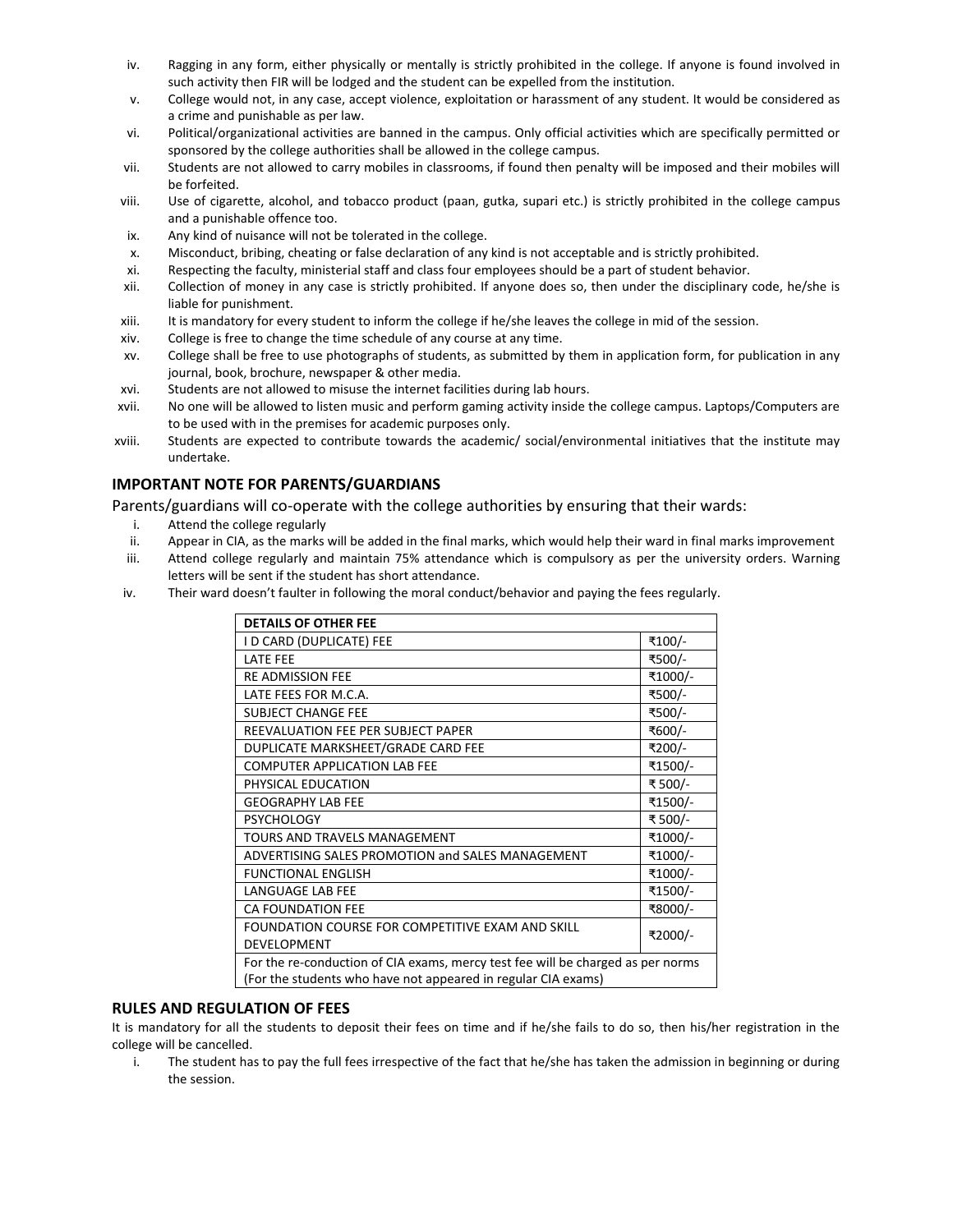- iv. Ragging in any form, either physically or mentally is strictly prohibited in the college. If anyone is found involved in such activity then FIR will be lodged and the student can be expelled from the institution.
- v. College would not, in any case, accept violence, exploitation or harassment of any student. It would be considered as a crime and punishable as per law.
- vi. Political/organizational activities are banned in the campus. Only official activities which are specifically permitted or sponsored by the college authorities shall be allowed in the college campus.
- vii. Students are not allowed to carry mobiles in classrooms, if found then penalty will be imposed and their mobiles will be forfeited.
- viii. Use of cigarette, alcohol, and tobacco product (paan, gutka, supari etc.) is strictly prohibited in the college campus and a punishable offence too.
- ix. Any kind of nuisance will not be tolerated in the college.
- x. Misconduct, bribing, cheating or false declaration of any kind is not acceptable and is strictly prohibited.
- xi. Respecting the faculty, ministerial staff and class four employees should be a part of student behavior.
- xii. Collection of money in any case is strictly prohibited. If anyone does so, then under the disciplinary code, he/she is liable for punishment.
- xiii. It is mandatory for every student to inform the college if he/she leaves the college in mid of the session.
- xiv. College is free to change the time schedule of any course at any time.
- xv. College shall be free to use photographs of students, as submitted by them in application form, for publication in any journal, book, brochure, newspaper & other media.
- xvi. Students are not allowed to misuse the internet facilities during lab hours.
- xvii. No one will be allowed to listen music and perform gaming activity inside the college campus. Laptops/Computers are to be used with in the premises for academic purposes only.
- xviii. Students are expected to contribute towards the academic/ social/environmental initiatives that the institute may undertake.

#### **IMPORTANT NOTE FOR PARENTS/GUARDIANS**

Parents/guardians will co-operate with the college authorities by ensuring that their wards:

- i. Attend the college regularly
- ii. Appear in CIA, as the marks will be added in the final marks, which would help their ward in final marks improvement
- iii. Attend college regularly and maintain 75% attendance which is compulsory as per the university orders. Warning letters will be sent if the student has short attendance.
- iv. Their ward doesn't faulter in following the moral conduct/behavior and paying the fees regularly.

| <b>DETAILS OF OTHER FEE</b>                                                     |         |  |  |
|---------------------------------------------------------------------------------|---------|--|--|
| I D CARD (DUPLICATE) FEE                                                        | ₹100/-  |  |  |
| <b>LATE FEE</b>                                                                 | ₹500/-  |  |  |
| <b>RE ADMISSION FEE</b>                                                         | ₹1000/- |  |  |
| LATE FEES FOR M.C.A.                                                            | ₹500/-  |  |  |
| <b>SUBJECT CHANGE FEE</b>                                                       | ₹500/-  |  |  |
| REEVALUATION FEE PER SUBJECT PAPER                                              | ₹600/-  |  |  |
| DUPLICATE MARKSHEET/GRADE CARD FEE                                              | ₹200/-  |  |  |
| <b>COMPUTER APPLICATION LAB FEE</b>                                             | ₹1500/- |  |  |
| PHYSICAL EDUCATION                                                              | ₹ 500/- |  |  |
| <b>GEOGRAPHY LAB FEE</b>                                                        | ₹1500/- |  |  |
| <b>PSYCHOLOGY</b>                                                               | ₹500/-  |  |  |
| TOURS AND TRAVELS MANAGEMENT                                                    | ₹1000/- |  |  |
| ADVERTISING SALES PROMOTION and SALES MANAGEMENT                                | ₹1000/- |  |  |
| <b>FUNCTIONAL ENGLISH</b>                                                       | ₹1000/- |  |  |
| LANGUAGE LAB FEE                                                                | ₹1500/- |  |  |
| <b>CA FOUNDATION FEE</b>                                                        | ₹8000/- |  |  |
| FOUNDATION COURSE FOR COMPETITIVE EXAM AND SKILL                                | ₹2000/- |  |  |
| <b>DEVELOPMENT</b>                                                              |         |  |  |
| For the re-conduction of CIA exams, mercy test fee will be charged as per norms |         |  |  |
| (For the students who have not appeared in regular CIA exams)                   |         |  |  |

#### **RULES AND REGULATION OF FEES**

It is mandatory for all the students to deposit their fees on time and if he/she fails to do so, then his/her registration in the college will be cancelled.

i. The student has to pay the full fees irrespective of the fact that he/she has taken the admission in beginning or during the session.